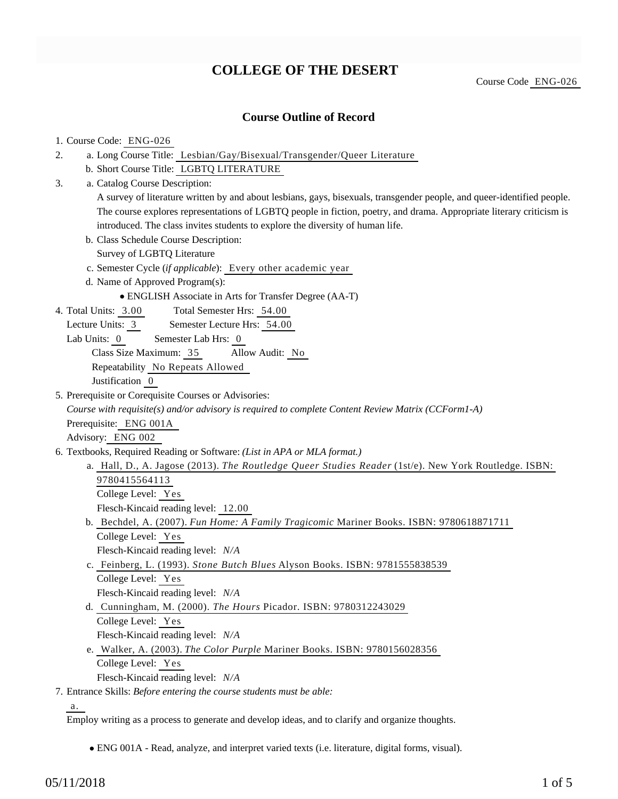## **COLLEGE OF THE DESERT**

Course Code ENG-026

## 1. Course Code: ENG-026

| <b>Course Outline of Record</b>                                                                                         |  |  |  |  |  |
|-------------------------------------------------------------------------------------------------------------------------|--|--|--|--|--|
| 1. Course Code: ENG-026                                                                                                 |  |  |  |  |  |
| a. Long Course Title: Lesbian/Gay/Bisexual/Transgender/Queer Literature<br>2.                                           |  |  |  |  |  |
| b. Short Course Title: LGBTQ LITERATURE                                                                                 |  |  |  |  |  |
| a. Catalog Course Description:<br>3.                                                                                    |  |  |  |  |  |
| A survey of literature written by and about lesbians, gays, bisexuals, transgender people, and queer-identified people. |  |  |  |  |  |
| The course explores representations of LGBTQ people in fiction, poetry, and drama. Appropriate literary criticism is    |  |  |  |  |  |
| introduced. The class invites students to explore the diversity of human life.                                          |  |  |  |  |  |
| b. Class Schedule Course Description:                                                                                   |  |  |  |  |  |
| Survey of LGBTQ Literature                                                                                              |  |  |  |  |  |
| c. Semester Cycle (if applicable): Every other academic year                                                            |  |  |  |  |  |
| d. Name of Approved Program(s):                                                                                         |  |  |  |  |  |
| • ENGLISH Associate in Arts for Transfer Degree (AA-T)                                                                  |  |  |  |  |  |
| Total Semester Hrs: 54.00<br>4. Total Units: 3.00                                                                       |  |  |  |  |  |
| Semester Lecture Hrs: 54.00<br>Lecture Units: 3                                                                         |  |  |  |  |  |
| Lab Units: 0<br>Semester Lab Hrs: 0                                                                                     |  |  |  |  |  |
| Class Size Maximum: 35<br>Allow Audit: No                                                                               |  |  |  |  |  |
| Repeatability No Repeats Allowed                                                                                        |  |  |  |  |  |
| Justification 0                                                                                                         |  |  |  |  |  |
| 5. Prerequisite or Corequisite Courses or Advisories:                                                                   |  |  |  |  |  |
| Course with requisite(s) and/or advisory is required to complete Content Review Matrix (CCForm1-A)                      |  |  |  |  |  |
| Prerequisite: ENG 001A                                                                                                  |  |  |  |  |  |
| Advisory: ENG 002                                                                                                       |  |  |  |  |  |
| 6. Textbooks, Required Reading or Software: (List in APA or MLA format.)                                                |  |  |  |  |  |
| a. Hall, D., A. Jagose (2013). The Routledge Queer Studies Reader (1st/e). New York Routledge. ISBN:                    |  |  |  |  |  |
| 9780415564113                                                                                                           |  |  |  |  |  |
| College Level: Yes                                                                                                      |  |  |  |  |  |
| Flesch-Kincaid reading level: 12.00                                                                                     |  |  |  |  |  |
| b. Bechdel, A. (2007). Fun Home: A Family Tragicomic Mariner Books. ISBN: 9780618871711                                 |  |  |  |  |  |
| College Level: Yes                                                                                                      |  |  |  |  |  |
| Flesch-Kincaid reading level: $N/A$                                                                                     |  |  |  |  |  |
| c. Feinberg, L. (1993). Stone Butch Blues Alyson Books. ISBN: 9781555838539                                             |  |  |  |  |  |
| College Level: Yes                                                                                                      |  |  |  |  |  |
| Flesch-Kincaid reading level: N/A                                                                                       |  |  |  |  |  |
| d. Cunningham, M. (2000). The Hours Picador. ISBN: 9780312243029                                                        |  |  |  |  |  |
| College Level: Yes                                                                                                      |  |  |  |  |  |
| Flesch-Kincaid reading level: N/A                                                                                       |  |  |  |  |  |
| e. Walker, A. (2003). The Color Purple Mariner Books. ISBN: 9780156028356                                               |  |  |  |  |  |
| College Level: Yes                                                                                                      |  |  |  |  |  |
| Flesch-Kincaid reading level: N/A                                                                                       |  |  |  |  |  |
| 7. Entrance Skills: Before entering the course students must be able:                                                   |  |  |  |  |  |
| а.                                                                                                                      |  |  |  |  |  |
| Employ writing as a process to generate and develop ideas, and to clarify and organize thoughts.                        |  |  |  |  |  |
| · ENG 001A - Read, analyze, and interpret varied texts (i.e. literature, digital forms, visual).                        |  |  |  |  |  |
| $1$ of $5$<br>05/11/2018                                                                                                |  |  |  |  |  |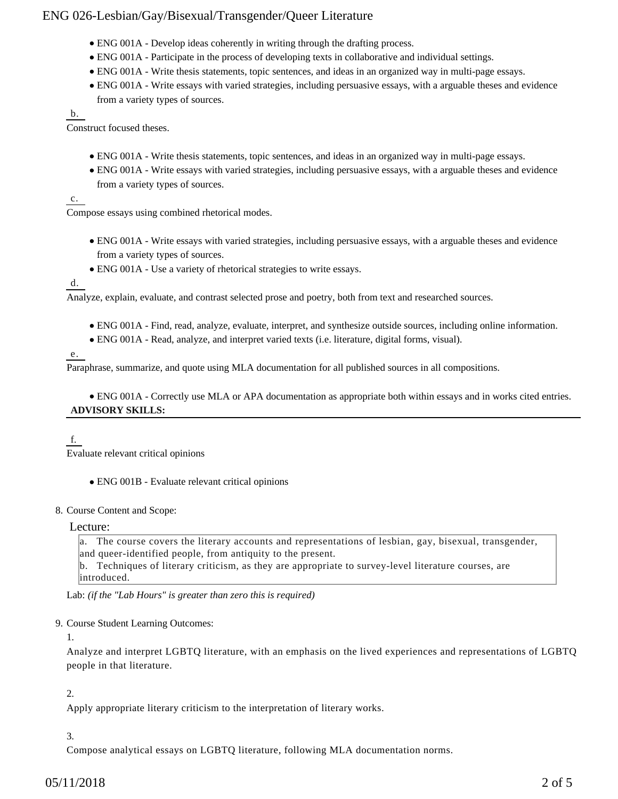## ENG 026-Lesbian/Gay/Bisexual/Transgender/Queer Literature

- ENG 001A Develop ideas coherently in writing through the drafting process.
- ENG 001A Participate in the process of developing texts in collaborative and individual settings.
- ENG 001A Write thesis statements, topic sentences, and ideas in an organized way in multi-page essays.
- ENG 001A Write essays with varied strategies, including persuasive essays, with a arguable theses and evidence from a variety types of sources.

b.

Construct focused theses.

- ENG 001A Write thesis statements, topic sentences, and ideas in an organized way in multi-page essays.
- ENG 001A Write essays with varied strategies, including persuasive essays, with a arguable theses and evidence from a variety types of sources.

### c.

Compose essays using combined rhetorical modes.

- ENG 001A Write essays with varied strategies, including persuasive essays, with a arguable theses and evidence from a variety types of sources.
- ENG 001A Use a variety of rhetorical strategies to write essays.

d.

Analyze, explain, evaluate, and contrast selected prose and poetry, both from text and researched sources.

- ENG 001A Find, read, analyze, evaluate, interpret, and synthesize outside sources, including online information.
- ENG 001A Read, analyze, and interpret varied texts (i.e. literature, digital forms, visual).

### e.

Paraphrase, summarize, and quote using MLA documentation for all published sources in all compositions.

ENG 001A - Correctly use MLA or APA documentation as appropriate both within essays and in works cited entries. **ADVISORY SKILLS:**

## f.

Evaluate relevant critical opinions

ENG 001B - Evaluate relevant critical opinions

## 8. Course Content and Scope:

Lecture:

a. The course covers the literary accounts and representations of lesbian, gay, bisexual, transgender, and queer-identified people, from antiquity to the present. b. Techniques of literary criticism, as they are appropriate to survey-level literature courses, are

introduced.

Lab: *(if the "Lab Hours" is greater than zero this is required)*

#### 9. Course Student Learning Outcomes:

1.

Analyze and interpret LGBTQ literature, with an emphasis on the lived experiences and representations of LGBTQ people in that literature.

## 2.

Apply appropriate literary criticism to the interpretation of literary works.

## 3.

Compose analytical essays on LGBTQ literature, following MLA documentation norms.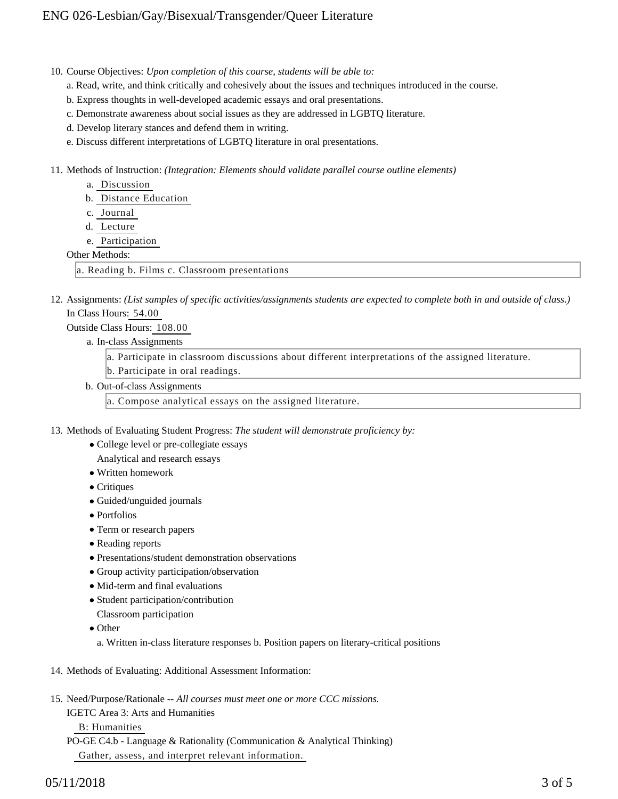10. Course Objectives: Upon completion of this course, students will be able to:

a. Read, write, and think critically and cohesively about the issues and techniques introduced in the course.

- b. Express thoughts in well-developed academic essays and oral presentations.
- c. Demonstrate awareness about social issues as they are addressed in LGBTQ literature.
- d. Develop literary stances and defend them in writing.
- e. Discuss different interpretations of LGBTQ literature in oral presentations.

11. Methods of Instruction: *(Integration: Elements should validate parallel course outline elements)* 

- a. Discussion
- b. Distance Education
- c. Journal
- d. Lecture
- e. Participation

#### Other Methods:

a. Reading b. Films c. Classroom presentations

12. Assignments: (List samples of specific activities/assignments students are expected to complete both in and outside of class.) In Class Hours: 54.00

#### Outside Class Hours: 108.00

a. In-class Assignments

a. Participate in classroom discussions about different interpretations of the assigned literature.

- b. Participate in oral readings.
- b. Out-of-class Assignments
	- a. Compose analytical essays on the assigned literature.
- 13. Methods of Evaluating Student Progress: The student will demonstrate proficiency by:
	- College level or pre-collegiate essays
	- Analytical and research essays
	- Written homework
	- Critiques
	- Guided/unguided journals
	- Portfolios
	- Term or research papers
	- Reading reports
	- Presentations/student demonstration observations
	- Group activity participation/observation
	- Mid-term and final evaluations
	- Student participation/contribution
	- Classroom participation
	- Other

a. Written in-class literature responses b. Position papers on literary-critical positions

- 14. Methods of Evaluating: Additional Assessment Information:
- 15. Need/Purpose/Rationale -- All courses must meet one or more CCC missions.
	- IGETC Area 3: Arts and Humanities

B: Humanities

PO-GE C4.b - Language & Rationality (Communication & Analytical Thinking) Gather, assess, and interpret relevant information.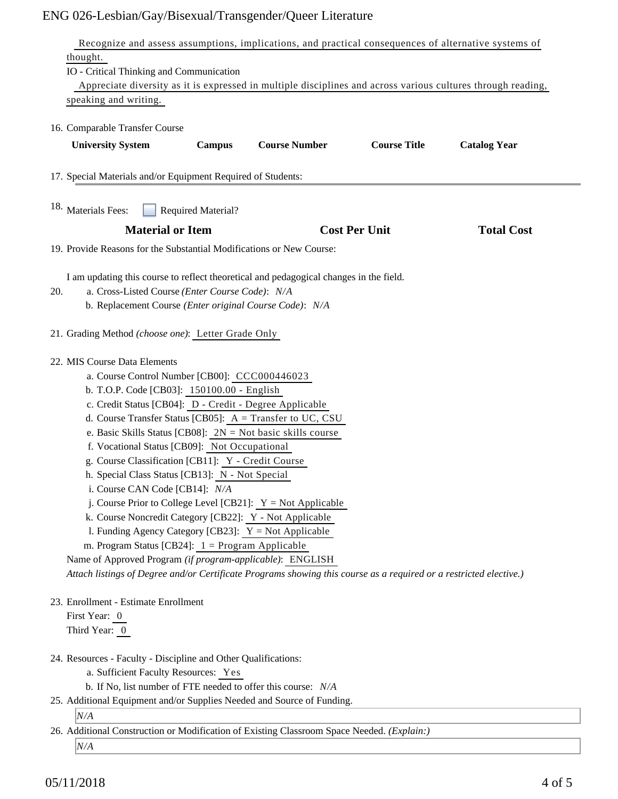# ENG 026-Lesbian/Gay/Bisexual/Transgender/Queer Literature

|                                                                                                                    |               | Recognize and assess assumptions, implications, and practical consequences of alternative systems of |                      |                     |  |  |
|--------------------------------------------------------------------------------------------------------------------|---------------|------------------------------------------------------------------------------------------------------|----------------------|---------------------|--|--|
| thought.                                                                                                           |               |                                                                                                      |                      |                     |  |  |
| IO - Critical Thinking and Communication                                                                           |               |                                                                                                      |                      |                     |  |  |
| Appreciate diversity as it is expressed in multiple disciplines and across various cultures through reading,       |               |                                                                                                      |                      |                     |  |  |
| speaking and writing.                                                                                              |               |                                                                                                      |                      |                     |  |  |
| 16. Comparable Transfer Course                                                                                     |               |                                                                                                      |                      |                     |  |  |
| <b>University System</b>                                                                                           | <b>Campus</b> | <b>Course Number</b>                                                                                 | <b>Course Title</b>  | <b>Catalog Year</b> |  |  |
| 17. Special Materials and/or Equipment Required of Students:                                                       |               |                                                                                                      |                      |                     |  |  |
| <sup>18.</sup> Materials Fees:<br><b>Required Material?</b>                                                        |               |                                                                                                      |                      |                     |  |  |
| <b>Material or Item</b>                                                                                            |               |                                                                                                      | <b>Cost Per Unit</b> | <b>Total Cost</b>   |  |  |
| 19. Provide Reasons for the Substantial Modifications or New Course:                                               |               |                                                                                                      |                      |                     |  |  |
| I am updating this course to reflect theoretical and pedagogical changes in the field.                             |               |                                                                                                      |                      |                     |  |  |
| a. Cross-Listed Course (Enter Course Code): N/A<br>20.                                                             |               |                                                                                                      |                      |                     |  |  |
| b. Replacement Course (Enter original Course Code): N/A                                                            |               |                                                                                                      |                      |                     |  |  |
| 21. Grading Method (choose one): Letter Grade Only                                                                 |               |                                                                                                      |                      |                     |  |  |
| 22. MIS Course Data Elements                                                                                       |               |                                                                                                      |                      |                     |  |  |
| a. Course Control Number [CB00]: CCC000446023                                                                      |               |                                                                                                      |                      |                     |  |  |
| b. T.O.P. Code [CB03]: 150100.00 - English                                                                         |               |                                                                                                      |                      |                     |  |  |
| c. Credit Status [CB04]: D - Credit - Degree Applicable                                                            |               |                                                                                                      |                      |                     |  |  |
| d. Course Transfer Status [CB05]: $A = Transfer to UC, CSU$                                                        |               |                                                                                                      |                      |                     |  |  |
| e. Basic Skills Status [CB08]: $2N = Not basic skills course$                                                      |               |                                                                                                      |                      |                     |  |  |
| f. Vocational Status [CB09]: Not Occupational                                                                      |               |                                                                                                      |                      |                     |  |  |
| g. Course Classification [CB11]: Y - Credit Course                                                                 |               |                                                                                                      |                      |                     |  |  |
| h. Special Class Status [CB13]: N - Not Special                                                                    |               |                                                                                                      |                      |                     |  |  |
| i. Course CAN Code [CB14]: N/A                                                                                     |               |                                                                                                      |                      |                     |  |  |
| j. Course Prior to College Level [CB21]: $Y = Not Apple$                                                           |               |                                                                                                      |                      |                     |  |  |
| k. Course Noncredit Category [CB22]: Y - Not Applicable                                                            |               |                                                                                                      |                      |                     |  |  |
| 1. Funding Agency Category [CB23]: $Y = Not$ Applicable                                                            |               |                                                                                                      |                      |                     |  |  |
| m. Program Status [CB24]: $1 =$ Program Applicable                                                                 |               |                                                                                                      |                      |                     |  |  |
| Name of Approved Program (if program-applicable): ENGLISH                                                          |               |                                                                                                      |                      |                     |  |  |
| Attach listings of Degree and/or Certificate Programs showing this course as a required or a restricted elective.) |               |                                                                                                      |                      |                     |  |  |
| 23. Enrollment - Estimate Enrollment                                                                               |               |                                                                                                      |                      |                     |  |  |
| First Year: 0                                                                                                      |               |                                                                                                      |                      |                     |  |  |
| Third Year: 0                                                                                                      |               |                                                                                                      |                      |                     |  |  |
| 24. Resources - Faculty - Discipline and Other Qualifications:                                                     |               |                                                                                                      |                      |                     |  |  |
| a. Sufficient Faculty Resources: Yes                                                                               |               |                                                                                                      |                      |                     |  |  |
| b. If No, list number of FTE needed to offer this course: N/A                                                      |               |                                                                                                      |                      |                     |  |  |
| 25. Additional Equipment and/or Supplies Needed and Source of Funding.                                             |               |                                                                                                      |                      |                     |  |  |
| N/A                                                                                                                |               |                                                                                                      |                      |                     |  |  |
| 26. Additional Construction or Modification of Existing Classroom Space Needed. (Explain:)                         |               |                                                                                                      |                      |                     |  |  |
| N/A                                                                                                                |               |                                                                                                      |                      |                     |  |  |